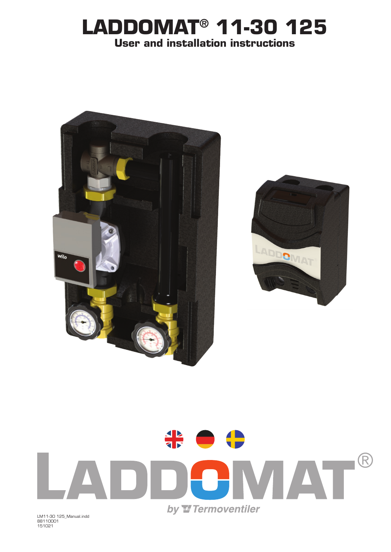## **LADDOMAT® 11-30 125 User and installation instructions**





LM11-30 125\_Manual.indd 88110001 151021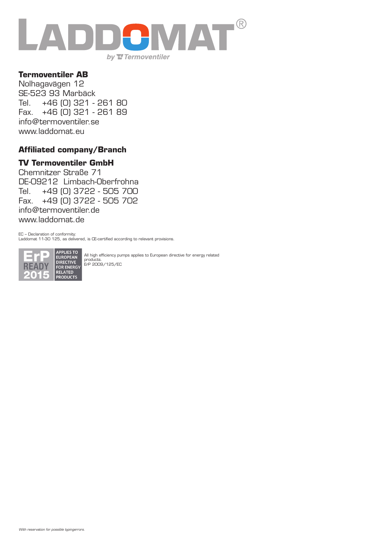

#### **Termoventiler AB**

Nolhagavägen 12 SE-523 93 Marbäck Tel. +46 (0) 321 - 261 80 Fax. +46 (0) 321 - 261 89 info@termoventiler.se www.laddomat.eu

#### **Affiliated company/Branch**

#### **TV Termoventiler GmbH**

Chemnitzer Straße 71 DE-09212 Limbach-Oberfrohna Tel. +49 (0) 3722 - 505 700 Fax. +49 (0) 3722 - 505 702 info@termoventiler.de www.laddomat.de

EC – Declaration of conformity: Laddomat 11-30 125, as delivered, is CE-certified according to relevant provisions.



All high efficiency pumps applies to European directive for energy related products. ErP 2009/125/EC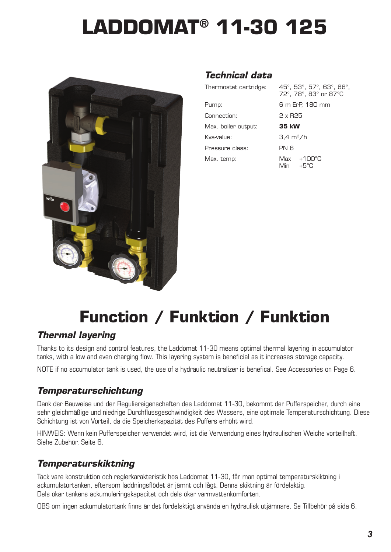# **LADDOMAT® 11-30 125**



## *Technical data*

| Thermostat cartridge: | 45°, 53°, 57°, 63°, 66°,<br>72°, 78°, 83° or 87°C |  |
|-----------------------|---------------------------------------------------|--|
| Pump:                 | 6 m ErP, 180 mm                                   |  |
| Connection:           | 2 x R25                                           |  |
| Max. boiler output:   | 35 kW                                             |  |
| Kys-value:            | $3.4 \text{ m}^3/h$                               |  |
| Pressure class:       | PN 6                                              |  |
| Max. temp:            | $Max +100^{\circ}C$<br>$+5^{\circ}$ C<br>Min      |  |

## **Function / Funktion / Funktion**

## *Thermal layering*

Thanks to its design and control features, the Laddomat 11-30 means optimal thermal layering in accumulator tanks, with a low and even charging flow. This layering system is beneficial as it increases storage capacity.

NOTE if no accumulator tank is used, the use of a hydraulic neutralizer is benefical. See Accessories on Page 6.

### *Temperaturschichtung*

Dank der Bauweise und der Reguliereigenschaften des Laddomat 11-30, bekommt der Pufferspeicher, durch eine sehr gleichmäßige und niedrige Durchflussgeschwindigkeit des Wassers, eine optimale Temperaturschichtung. Diese Schichtung ist von Vorteil, da die Speicherkapazität des Puffers erhöht wird.

HINWEIS: Wenn kein Pufferspeicher verwendet wird, ist die Verwendung eines hydraulischen Weiche vorteilhaft. Siehe Zubehör, Seite 6.

## *Temperaturskiktning*

Tack vare konstruktion och reglerkarakteristik hos Laddomat 11-30, får man optimal temperaturskiktning i ackumulatortanken, eftersom laddningsflödet är jämnt och lågt. Denna skiktning är fördelaktig. Dels ökar tankens ackumuleringskapacitet och dels ökar varmvattenkomforten.

OBS om ingen ackumulatortank finns är det fördelaktigt använda en hydraulisk utjämnare. Se Tillbehör på sida 6.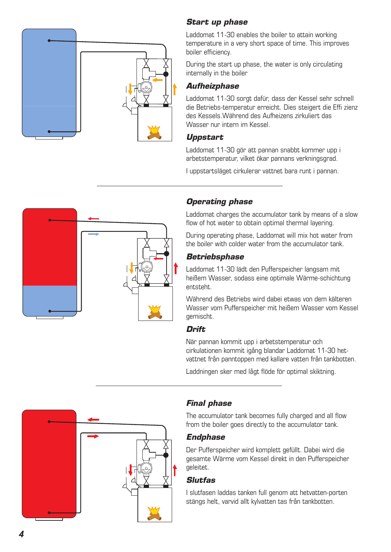

#### *Start up phase*

Laddomat 11-30 enables the boiler to attain working temperature in a very short space of time. This improves boiler efficiency.

During the start up phase, the water is only circulating internally in the boiler

#### *Aufheizphase*

Laddomat 11-30 sorgt dafür, dass der Kessel sehr schnell die Betriebs-temperatur erreicht. Dies steigert die Effi zienz des Kessels.Während des Aufheizens zirkuliert das Wasser nur intern im Kessel.

#### *Uppstart*

Laddomat 11-30 gör att pannan snabbt kommer upp i arbetstemperatur, vilket ökar pannans verkningsgrad.

I uppstartsläget cirkulerar vattnet bara runt i pannan.



#### *Operating phase*

Laddomat charges the accumulator tank by means of a slow flow of hot water to obtain optimal thermal layering.

During operating phase, Laddomat will mix hot water from the boiler with colder water from the accumulator tank.

#### *Betriebsphase*

Laddomat 11-30 lädt den Pufferspeicher langsam mit heißem Wasser, sodass eine optimale Wärme-schichtung entsteht.

Während des Betriebs wird dabei etwas von dem kälteren Wasser vom Pufferspeicher mit heißem Wasser vom Kessel gemischt.

#### *Drift*

När pannan kommit upp i arbetstemperatur och cirkulationen kommit igång blandar Laddomat 11-30 hetvattnet från panntoppen med kallare vatten från tankbotten.

Laddningen sker med lågt flöde för optimal skiktning.



#### *Final phase*

The accumulator tank becomes fully charged and all flow from the boiler goes directly to the accumulator tank.

#### *Endphase*

Der Pufferspeicher wird komplett gefüllt. Dabei wird die gesamte Wärme vom Kessel direkt in den Pufferspeicher geleitet.

#### *Slutfas*

I slutfasen laddas tanken full genom att hetvatten-porten stängs helt, varvid allt kylvatten tas från tankbotten.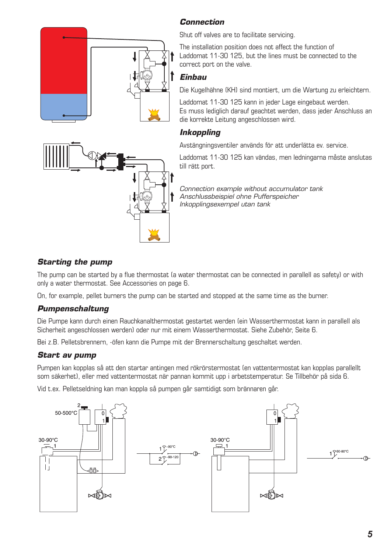#### *Connection*



Shut off valves are to facilitate servicing.

The installation position does not affect the function of Laddomat 11-30 125, but the lines must be connected to the correct port on the valve.

#### *Einbau*

Die Kugelhähne (KH) sind montiert, um die Wartung zu erleichtern.

Laddomat 11-30 125 kann in jeder Lage eingebaut werden. Es muss lediglich darauf geachtet werden, dass jeder Anschluss an die korrekte Leitung angeschlossen wird.

#### *Inkoppling*

Avstängningsventiler används för att underlätta ev. service.

Laddomat 11-30 125 kan vändas, men ledningarna måste anslutas till rätt port.

*Connection example without accumulator tank Anschlussbeispiel ohne Pufferspeicher Inkopplingsexempel utan tank*

#### *Starting the pump*

The pump can be started by a flue thermostat (a water thermostat can be connected in parallell as safety) or with only a water thermostat. See Accessories on page 6.

On, for example, pellet burners the pump can be started and stopped at the same time as the burner.

#### *Pumpenschaltung*

Die Pumpe kann durch einen Rauchkanalthermostat gestartet werden (ein Wasserthermostat kann in parallell als Sicherheit angeschlossen werden) oder nur mit einem Wasserthermostat. Siehe Zubehör, Seite 6.

Bei z.B. Pelletsbrennern, -öfen kann die Pumpe mit der Brennerschaltung geschaltet werden.

#### *Start av pump*

Pumpen kan kopplas så att den startar antingen med rökrörstermostat (en vattentermostat kan kopplas parallellt som säkerhet), eller med vattentermostat när pannan kommit upp i arbetstemperatur. Se Tillbehör på sida 6.

Vid t.ex. Pelletseldning kan man koppla så pumpen går samtidigt som brännaren går.

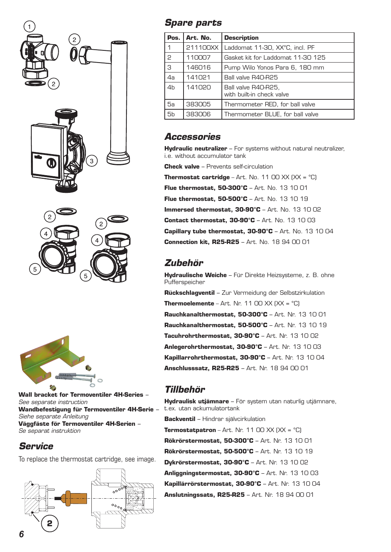





**Wall bracket for Termoventiler 4H-Series** *– See separate instruction* **Wandbefestigung für Termoventiler 4H-Serie** *– Siehe separate Anleitung* **Väggfäste för Termoventiler 4H-Serien** *– Se separat instruktion*

#### *Service*

To replace the thermostat cartridge, see image.



## *Spare parts*

| Pos.           | Art. No. | <b>Description</b>                               |
|----------------|----------|--------------------------------------------------|
| 1              | 211100XX | Laddomat 11-30, XX°C, incl. PF                   |
| P              | 110007   | Gasket kit for Laddomat 11-30 125                |
| 3              | 146016   | Pump Wilo Yonos Para 6, 180 mm                   |
| 4a             | 141021   | Ball valve R40-R25                               |
| 4 <sub>b</sub> | 141020   | Ball valve R40-R25,<br>with built-in check valve |
| 5а             | 383005   | Thermometer RED, for ball valve                  |
| 5b             | 383006   | Thermometer BLUE, for ball valve                 |

### *Accessories*

**Hydraulic neutralizer** – For systems without natural neutralizer, i.e. without accumulator tank

**Check valve** – Prevents self-circulation

**Thermostat cartridge** – Art. No. 11 00 XX  $(XX = C)$ **Flue thermostat, 50-300°C** – Art. No. 13 10 01 **Flue thermostat, 50-500°C** – Art. No. 13 10 19 **Immersed thermostat, 30-90°C** – Art. No. 13 10 02 **Contact thermostat, 30-90°C** – Art. No. 13 10 03 **Capillary tube thermostat, 30-90°C** – Art. No. 13 10 04 **Connection kit, R25-R25** – Art. No. 18 94 00 01

## *Zubehör*

**Hydraulische Weiche** – Für Direkte Heizsysteme, z. B. ohne Pufferspeicher **Rückschlagventil** – Zur Vermeidung der Selbstzirkulation **Thermoelemente** – Art. Nr. 11 00 XX  $(XX = C)$ **Rauchkanalthermostat, 50-300°C** – Art. Nr. 13 10 01 **Rauchkanalthermostat, 50-500°C** – Art. Nr. 13 10 19 **Tacuhrohrthermostat, 30-90°C** – Art. Nr. 13 10 02 **Anlegerohrthermostat, 30-90°C** – Art. Nr. 13 10 03 **Kapillarrohrthermostat, 30-90°C** – Art. Nr. 13 10 04

**Anschlusssatz, R25-R25** – Art. Nr. 18 94 00 01

## *Tillbehör*

**Hydraulisk utjämnare** – För system utan naturlig utjämnare, t.ex. utan ackumulatortank **Backventil** – Hindrar självcirkulation **Termostatpatron** – Art. Nr. 11 00 XX  $(XX = C)$ **Rökrörstermostat, 50-300°C** – Art. Nr. 13 10 01 **Rökrörstermostat, 50-500°C** – Art. Nr. 13 10 19 **Dykrörstermostat, 30-90°C** – Art. Nr. 13 10 02 **Anliggningstermostat, 30-90°C** – Art. Nr. 13 10 03 **Kapillärrörstermostat, 30-90°C** – Art. Nr. 13 10 04 **Anslutningssats, R25-R25** – Art. Nr. 18 94 00 01